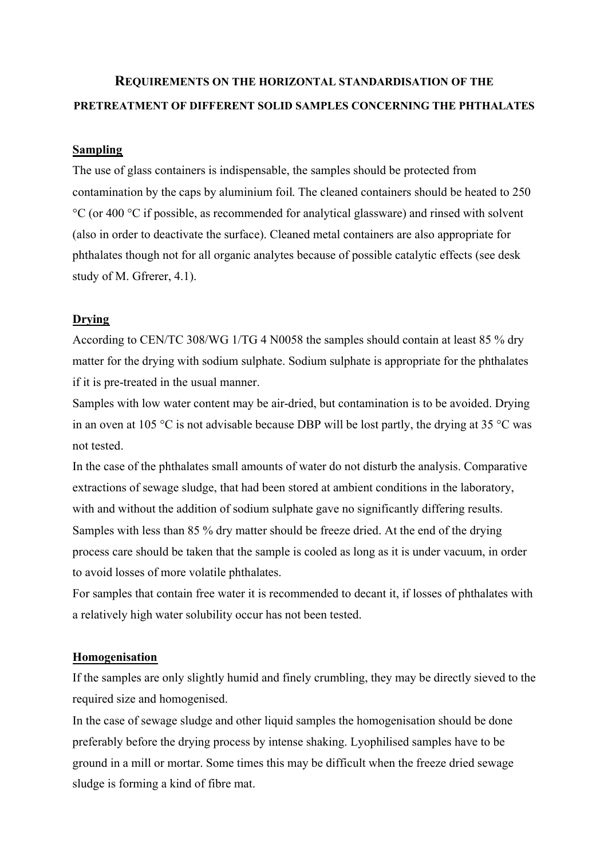# **REQUIREMENTS ON THE HORIZONTAL STANDARDISATION OF THE PRETREATMENT OF DIFFERENT SOLID SAMPLES CONCERNING THE PHTHALATES**

## **Sampling**

The use of glass containers is indispensable, the samples should be protected from contamination by the caps by aluminium foil. The cleaned containers should be heated to 250 °C (or 400 °C if possible, as recommended for analytical glassware) and rinsed with solvent (also in order to deactivate the surface). Cleaned metal containers are also appropriate for phthalates though not for all organic analytes because of possible catalytic effects (see desk study of M. Gfrerer, 4.1).

## **Drying**

According to CEN/TC 308/WG 1/TG 4 N0058 the samples should contain at least 85 % dry matter for the drying with sodium sulphate. Sodium sulphate is appropriate for the phthalates if it is pre-treated in the usual manner.

Samples with low water content may be air-dried, but contamination is to be avoided. Drying in an oven at 105 °C is not advisable because DBP will be lost partly, the drying at 35 °C was not tested.

In the case of the phthalates small amounts of water do not disturb the analysis. Comparative extractions of sewage sludge, that had been stored at ambient conditions in the laboratory, with and without the addition of sodium sulphate gave no significantly differing results. Samples with less than 85 % dry matter should be freeze dried. At the end of the drying process care should be taken that the sample is cooled as long as it is under vacuum, in order to avoid losses of more volatile phthalates.

For samples that contain free water it is recommended to decant it, if losses of phthalates with a relatively high water solubility occur has not been tested.

#### **Homogenisation**

If the samples are only slightly humid and finely crumbling, they may be directly sieved to the required size and homogenised.

In the case of sewage sludge and other liquid samples the homogenisation should be done preferably before the drying process by intense shaking. Lyophilised samples have to be ground in a mill or mortar. Some times this may be difficult when the freeze dried sewage sludge is forming a kind of fibre mat.